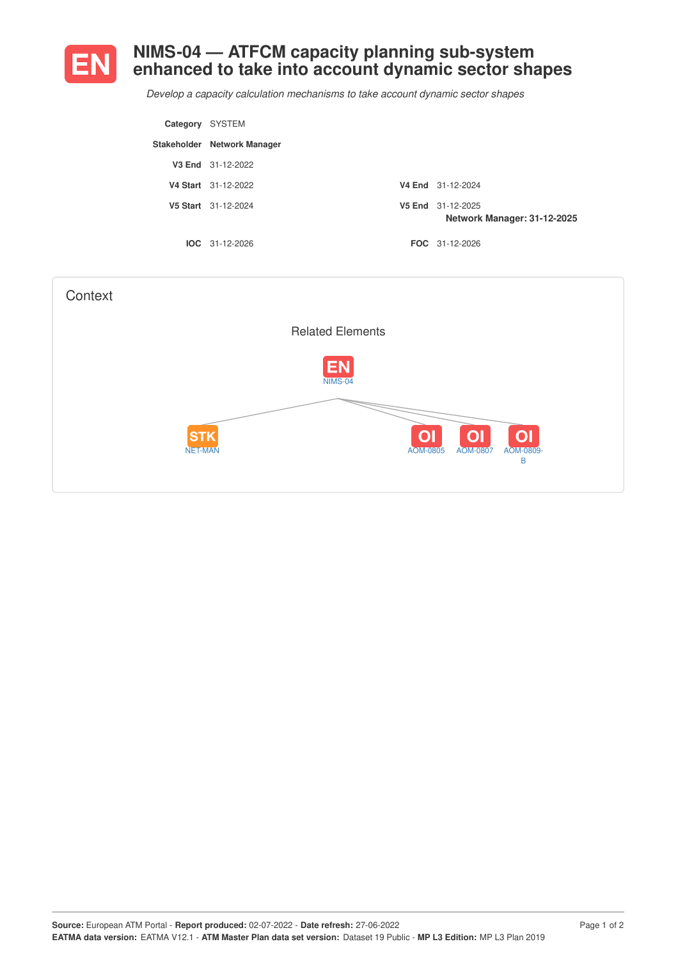

## **NIMS-04 — ATFCM capacity planning sub-system enhanced to take into account dynamic sector shapes**

*Develop a capacity calculation mechanisms to take account dynamic sector shapes*

| Category SYSTEM |                             |                                                  |
|-----------------|-----------------------------|--------------------------------------------------|
|                 | Stakeholder Network Manager |                                                  |
|                 | V3 End 31-12-2022           |                                                  |
|                 | V4 Start 31-12-2022         | V4 End 31-12-2024                                |
|                 | V5 Start 31-12-2024         | V5 End 31-12-2025<br>Network Manager: 31-12-2025 |
|                 | $IOC 31-12-2026$            | FOC 31-12-2026                                   |

| Context |                              |                                                                                                     |
|---------|------------------------------|-----------------------------------------------------------------------------------------------------|
|         |                              | <b>Related Elements</b>                                                                             |
|         |                              | <b>EN</b><br><b>NIMS-04</b>                                                                         |
|         | <b>STK</b><br><b>NET-MAN</b> | O <sub>1</sub><br>O <sub>1</sub><br>O <sub>1</sub><br>AOM-0805<br><b>AOM-0807</b><br>AOM-0809-<br>B |